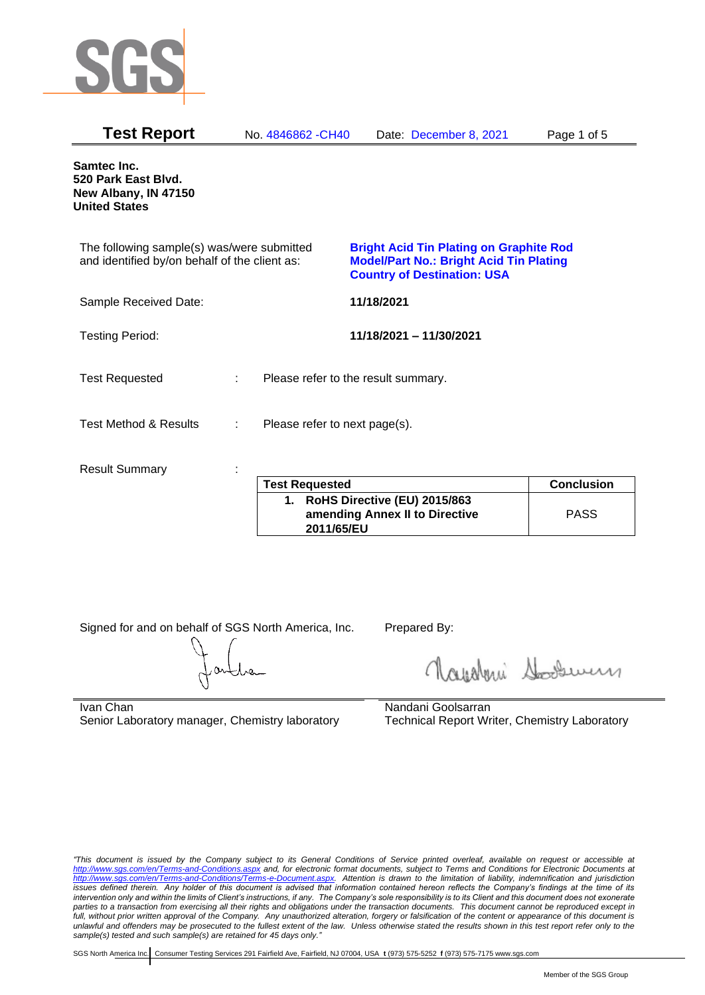

| <b>Test Report</b>                                                                          |   | No. 4846862 - CH40            | Date: December 8, 2021                                                                                                                 | Page 1 of 5       |
|---------------------------------------------------------------------------------------------|---|-------------------------------|----------------------------------------------------------------------------------------------------------------------------------------|-------------------|
| Samtec Inc.<br>520 Park East Blvd.<br>New Albany, IN 47150<br><b>United States</b>          |   |                               |                                                                                                                                        |                   |
| The following sample(s) was/were submitted<br>and identified by/on behalf of the client as: |   |                               | <b>Bright Acid Tin Plating on Graphite Rod</b><br><b>Model/Part No.: Bright Acid Tin Plating</b><br><b>Country of Destination: USA</b> |                   |
| Sample Received Date:                                                                       |   |                               | 11/18/2021                                                                                                                             |                   |
| <b>Testing Period:</b>                                                                      |   |                               | 11/18/2021 - 11/30/2021                                                                                                                |                   |
| <b>Test Requested</b>                                                                       | ÷ |                               | Please refer to the result summary.                                                                                                    |                   |
| <b>Test Method &amp; Results</b>                                                            | ÷ | Please refer to next page(s). |                                                                                                                                        |                   |
| <b>Result Summary</b>                                                                       |   | <b>Test Requested</b>         |                                                                                                                                        | <b>Conclusion</b> |
|                                                                                             |   |                               |                                                                                                                                        |                   |

| <b>Test Requested</b>                                                        | <b>Conclusion</b> |
|------------------------------------------------------------------------------|-------------------|
| RoHS Directive (EU) 2015/863<br>amending Annex II to Directive<br>2011/65/EU | <b>PASS</b>       |

Signed for and on behalf of SGS North America, Inc. Prepared By:

Napoleri Sooseman

Ivan Chan Senior Laboratory manager, Chemistry laboratory Nandani Goolsarran Technical Report Writer, Chemistry Laboratory

*"This document is issued by the Company subject to its General Conditions of Service printed overleaf, available on request or accessible at <http://www.sgs.com/en/Terms-and-Conditions.aspx> and, for electronic format documents, subject to Terms and Conditions for Electronic Documents at [http://www.sgs.com/en/Terms-and-Conditions/Terms-e-Document.aspx.](http://www.sgs.com/en/Terms-and-Conditions/Terms-e-Document.aspx) Attention is drawn to the limitation of liability, indemnification and jurisdiction issues defined therein. Any holder of this document is advised that information contained hereon reflects the Company's findings at the time of its intervention only and within the limits of Client's instructions, if any. The Company's sole responsibility is to its Client and this document does not exonerate parties to a transaction from exercising all their rights and obligations under the transaction documents. This document cannot be reproduced except in full, without prior written approval of the Company. Any unauthorized alteration, forgery or falsification of the content or appearance of this document is unlawful and offenders may be prosecuted to the fullest extent of the law. Unless otherwise stated the results shown in this test report refer only to the sample(s) tested and such sample(s) are retained for 45 days only."*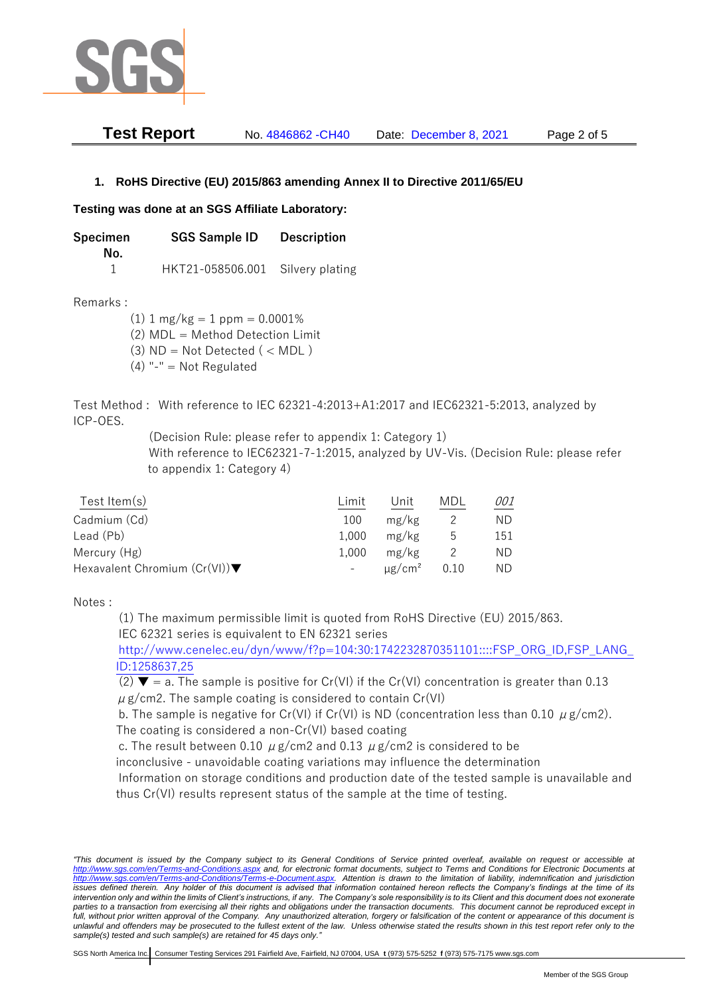

| <b>Test Report</b> | No. 4846862 - CH40 | Date: December 8, 2021 | Page 2 of 5 |
|--------------------|--------------------|------------------------|-------------|
|--------------------|--------------------|------------------------|-------------|

## **1. RoHS Directive (EU) 2015/863 amending Annex II to Directive 2011/65/EU**

## **Testing was done at an SGS Affiliate Laboratory:**

**Specimen SGS Sample ID Description No.** 1 HKT21-058506.001 Silvery plating

Remarks :

 $(1)$  1 mg/kg = 1 ppm = 0.0001% (2) MDL = Method Detection Limit

- $(3)$  ND = Not Detected  $($  < MDL)
- (4) "-" = Not Regulated

Test Method : With reference to IEC 62321-4:2013+A1:2017 and IEC62321-5:2013, analyzed by ICP-OES.

(Decision Rule: please refer to appendix 1: Category 1)

With reference to IEC62321-7-1:2015, analyzed by UV-Vis. (Decision Rule: please refer to appendix 1: Category 4)

| Test Item(s)                                     | Limit | Unit                    | MDI  | 001 |
|--------------------------------------------------|-------|-------------------------|------|-----|
| Cadmium (Cd)                                     | 100   | mg/kg                   |      | ND. |
| Lead (Pb)                                        | 1.000 | mg/kg                   | ს    | 151 |
| Mercury (Hg)                                     | 1.000 | mg/kg                   |      | ND. |
| Hexavalent Chromium $(Cr(VI))\blacktriangledown$ | $-$   | $\mu$ g/cm <sup>2</sup> | 0.10 | ND. |

Notes :

(1) The maximum permissible limit is quoted from RoHS Directive (EU) 2015/863. IEC 62321 series is equivalent to EN 62321 series

[http://www.cenelec.eu/dyn/www/f?p=104:30:1742232870351101::::FSP\\_ORG\\_ID,FSP\\_LANG\\_](http://www.cenelec.eu/dyn/www/f?p=104:30:1742232870351101::::FSP_ORG_ID,FSP_LANG_ID:1258637,25) [ID:1258637,25](http://www.cenelec.eu/dyn/www/f?p=104:30:1742232870351101::::FSP_ORG_ID,FSP_LANG_ID:1258637,25)

(2)  $\blacktriangledown$  = a. The sample is positive for Cr(VI) if the Cr(VI) concentration is greater than 0.13  $\mu$  g/cm2. The sample coating is considered to contain Cr(VI)

b. The sample is negative for Cr(VI) if Cr(VI) is ND (concentration less than 0.10  $\mu$  g/cm2). The coating is considered a non-Cr(VI) based coating

c. The result between 0.10  $\mu$  g/cm2 and 0.13  $\mu$  g/cm2 is considered to be

inconclusive - unavoidable coating variations may influence the determination

Information on storage conditions and production date of the tested sample is unavailable and thus Cr(VI) results represent status of the sample at the time of testing.

*"This document is issued by the Company subject to its General Conditions of Service printed overleaf, available on request or accessible at <http://www.sgs.com/en/Terms-and-Conditions.aspx> and, for electronic format documents, subject to Terms and Conditions for Electronic Documents at [http://www.sgs.com/en/Terms-and-Conditions/Terms-e-Document.aspx.](http://www.sgs.com/en/Terms-and-Conditions/Terms-e-Document.aspx) Attention is drawn to the limitation of liability, indemnification and jurisdiction*  issues defined therein. Any holder of this document is advised that information contained hereon reflects the Company's findings at the time of its *intervention only and within the limits of Client's instructions, if any. The Company's sole responsibility is to its Client and this document does not exonerate parties to a transaction from exercising all their rights and obligations under the transaction documents. This document cannot be reproduced except in full, without prior written approval of the Company. Any unauthorized alteration, forgery or falsification of the content or appearance of this document is unlawful and offenders may be prosecuted to the fullest extent of the law. Unless otherwise stated the results shown in this test report refer only to the sample(s) tested and such sample(s) are retained for 45 days only."*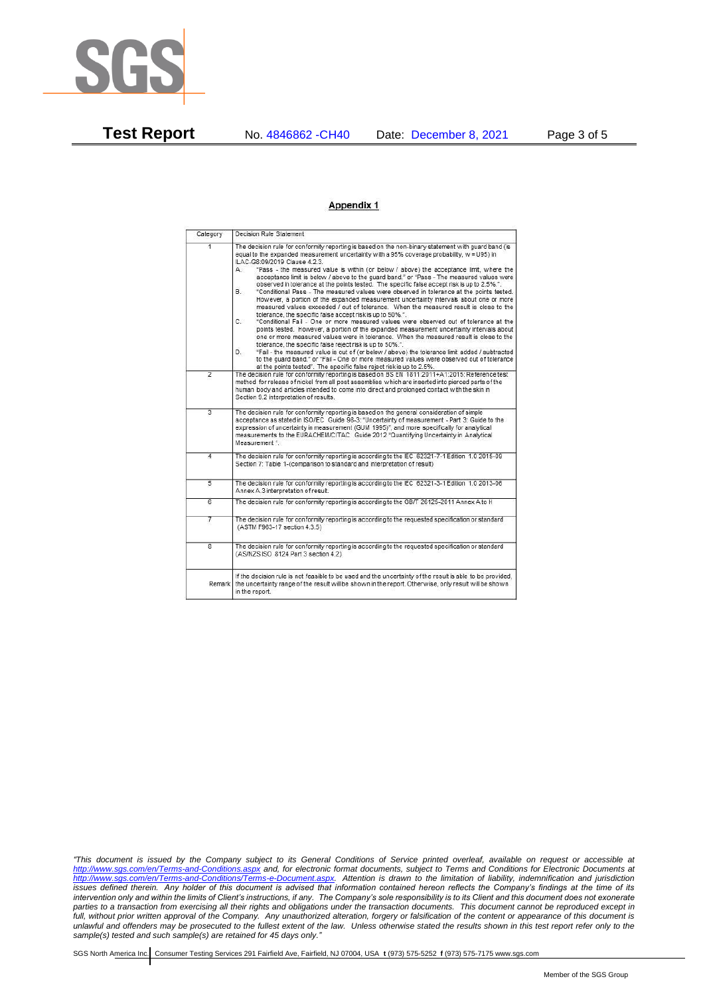

**Test Report** No. 4846862 -CH40 Date: December 8, 2021 Page 3 of 5

## **Appendix 1**

| Category                | Decision Rule Statement                                                                                                                                                                                                                                                                                                                                                                                                                                                                                                                                                                                                                                                                                                                                                                                                                                                                                                                                                                                                                                                                                                                                                                                                                                                                                                                                                                                                                                                                                            |  |  |  |
|-------------------------|--------------------------------------------------------------------------------------------------------------------------------------------------------------------------------------------------------------------------------------------------------------------------------------------------------------------------------------------------------------------------------------------------------------------------------------------------------------------------------------------------------------------------------------------------------------------------------------------------------------------------------------------------------------------------------------------------------------------------------------------------------------------------------------------------------------------------------------------------------------------------------------------------------------------------------------------------------------------------------------------------------------------------------------------------------------------------------------------------------------------------------------------------------------------------------------------------------------------------------------------------------------------------------------------------------------------------------------------------------------------------------------------------------------------------------------------------------------------------------------------------------------------|--|--|--|
| $\overline{1}$          | The decision rule for conformity reporting is based on the non-binary statement with quard band (is<br>equal to the expanded measurement uncertainty with a 95% coverage probability, w = U95) in<br>ILAC-G8:09/2019 Clause 4.2.3.<br>"Pass - the measured value is within (or below / above) the acceptance limit, where the<br>А.<br>acceptance limit is below / above to the quard band." or "Pass - The measured values were<br>observed in tolerance at the points tested. The specific false accept risk is up to 2.5%.".<br>B.<br>"Conditional Pass - The measured values were observed in tolerance at the points tested.<br>However, a portion of the expanded measurement uncertainty intervals about one or more<br>measured values exceeded / out of tolerance. When the measured result is close to the<br>tolerance, the specific false accept risk is up to 50%.".<br>C.<br>"Conditional Fail - One or more measured values were observed out of tolerance at the<br>points tested. However, a portion of the expanded measurement uncertainty intervals about<br>one or more measured values were in tolerance. When the measured result is close to the<br>tolerance, the specific false reject risk is up to 50%.".<br>"Fail - the measured value is out of (or below / above) the tolerance limit added / subtracted<br>D.<br>to the quard band." or "Fail - One or more measured values were observed out of tolerance<br>at the points tested". The specific false reject risk is up to 2.5%. |  |  |  |
| $\overline{2}$          | The decision rule for conformity reporting is based on BS EN 1811:2011+A1:2015: Reference test<br>method for release of nickel from all post assemblies which are inserted into pierced parts of the<br>human body and articles intended to come into direct and prolonged contact with the skin in<br>Section 9.2 interpretation of results.                                                                                                                                                                                                                                                                                                                                                                                                                                                                                                                                                                                                                                                                                                                                                                                                                                                                                                                                                                                                                                                                                                                                                                      |  |  |  |
| $\overline{3}$          | The decision rule for conformity reporting is based on the general consideration of simple<br>acceptance as stated in ISO/IEC Guide 98-3: "Uncertainty of measurement - Part 3: Guide to the<br>expression of uncertainty in measurement (GUM 1995)", and more specifically for analytical<br>measurements to the EURACHEM/CITAC Guide 2012 "Quantifying Uncertainty in Analytical<br>Measurement *                                                                                                                                                                                                                                                                                                                                                                                                                                                                                                                                                                                                                                                                                                                                                                                                                                                                                                                                                                                                                                                                                                                |  |  |  |
| 4                       | The decision rule for conformity reporting is according to the IEC 62321-7-1 Edition 1.0 2015-09<br>Section 7: Table 1-(comparison to standard and interpretation of result)                                                                                                                                                                                                                                                                                                                                                                                                                                                                                                                                                                                                                                                                                                                                                                                                                                                                                                                                                                                                                                                                                                                                                                                                                                                                                                                                       |  |  |  |
| 5                       | The decision rule for conformity reporting is according to the IEC 62321-3-1 Edition 1.0 2013-06<br>Annex A.3 interpretation of result.                                                                                                                                                                                                                                                                                                                                                                                                                                                                                                                                                                                                                                                                                                                                                                                                                                                                                                                                                                                                                                                                                                                                                                                                                                                                                                                                                                            |  |  |  |
| $\overline{6}$          | The decision rule for conformity reporting is according to the GB/T 26125-2011 Annex A to H                                                                                                                                                                                                                                                                                                                                                                                                                                                                                                                                                                                                                                                                                                                                                                                                                                                                                                                                                                                                                                                                                                                                                                                                                                                                                                                                                                                                                        |  |  |  |
| 7                       | The decision rule for conformity reporting is according to the requested specification or standard<br>(ASTM F963-17 section 4.3.5)                                                                                                                                                                                                                                                                                                                                                                                                                                                                                                                                                                                                                                                                                                                                                                                                                                                                                                                                                                                                                                                                                                                                                                                                                                                                                                                                                                                 |  |  |  |
| $\overline{\mathbf{g}}$ | The decision rule for conformity reporting is according to the requested specification or standard<br>(AS/NZS ISO 8124 Part 3 section 4.2)                                                                                                                                                                                                                                                                                                                                                                                                                                                                                                                                                                                                                                                                                                                                                                                                                                                                                                                                                                                                                                                                                                                                                                                                                                                                                                                                                                         |  |  |  |
| Remark                  | If the decision rule is not feasible to be used and the uncertainty of the result is able to be provided.<br>the uncertainty range of the result will be shown in the report. Otherwise, only result will be shown<br>in the report.                                                                                                                                                                                                                                                                                                                                                                                                                                                                                                                                                                                                                                                                                                                                                                                                                                                                                                                                                                                                                                                                                                                                                                                                                                                                               |  |  |  |

*"This document is issued by the Company subject to its General Conditions of Service printed overleaf, available on request or accessible at <http://www.sgs.com/en/Terms-and-Conditions.aspx> and, for electronic format documents, subject to Terms and Conditions for Electronic Documents at [http://www.sgs.com/en/Terms-and-Conditions/Terms-e-Document.aspx.](http://www.sgs.com/en/Terms-and-Conditions/Terms-e-Document.aspx) Attention is drawn to the limitation of liability, indemnification and jurisdiction issues defined therein. Any holder of this document is advised that information contained hereon reflects the Company's findings at the time of its intervention only and within the limits of Client's instructions, if any. The Company's sole responsibility is to its Client and this document does not exonerate parties to a transaction from exercising all their rights and obligations under the transaction documents. This document cannot be reproduced except in full, without prior written approval of the Company. Any unauthorized alteration, forgery or falsification of the content or appearance of this document is unlawful and offenders may be prosecuted to the fullest extent of the law. Unless otherwise stated the results shown in this test report refer only to the sample(s) tested and such sample(s) are retained for 45 days only."*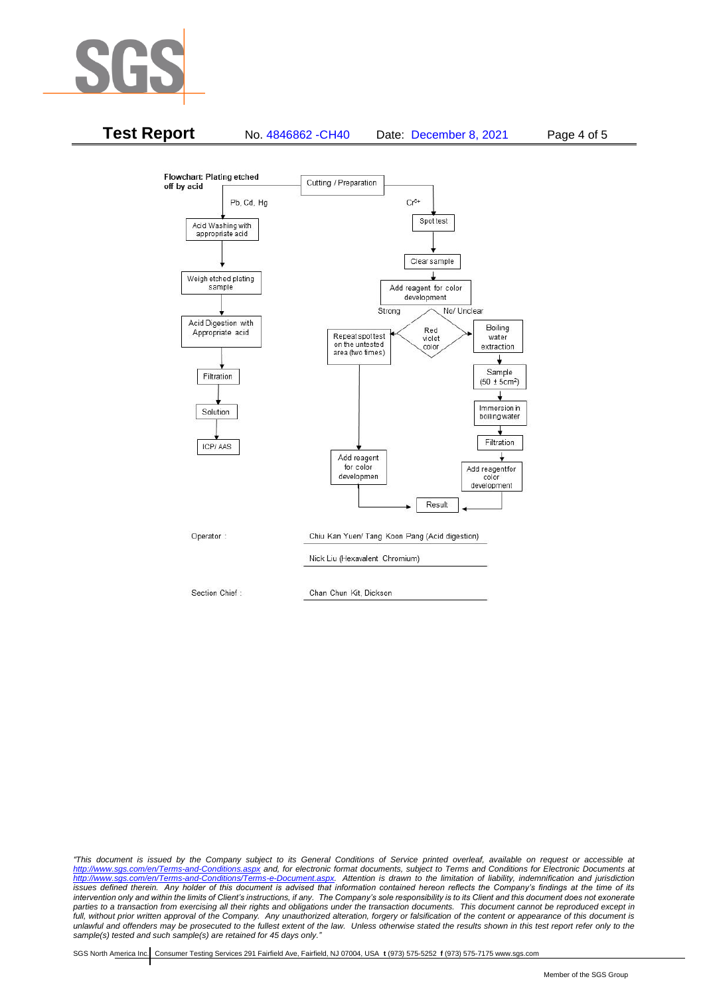



*"This document is issued by the Company subject to its General Conditions of Service printed overleaf, available on request or accessible at <http://www.sgs.com/en/Terms-and-Conditions.aspx> and, for electronic format documents, subject to Terms and Conditions for Electronic Documents at [http://www.sgs.com/en/Terms-and-Conditions/Terms-e-Document.aspx.](http://www.sgs.com/en/Terms-and-Conditions/Terms-e-Document.aspx) Attention is drawn to the limitation of liability, indemnification and jurisdiction issues defined therein. Any holder of this document is advised that information contained hereon reflects the Company's findings at the time of its intervention only and within the limits of Client's instructions, if any. The Company's sole responsibility is to its Client and this document does not exonerate parties to a transaction from exercising all their rights and obligations under the transaction documents. This document cannot be reproduced except in full, without prior written approval of the Company. Any unauthorized alteration, forgery or falsification of the content or appearance of this document is unlawful and offenders may be prosecuted to the fullest extent of the law. Unless otherwise stated the results shown in this test report refer only to the sample(s) tested and such sample(s) are retained for 45 days only."*